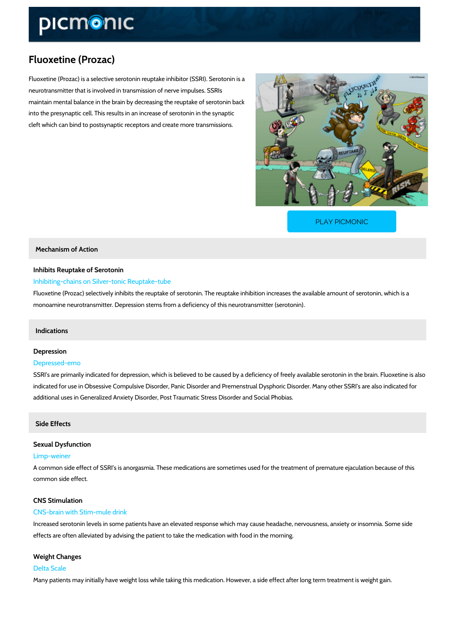# Fluoxetine (Prozac)

Fluoxetine (Prozac) is a selective serotonin reuptake inhibitor (SSRI). Serotonin is a neurotransmitter that is involved in transmission of nerve impulses. SSRIs maintain mental balance in the brain by decreasing the reuptake of serotonin back into the presynaptic cell. This results in an increase of serotonin in the synaptic cleft which can bind to postsynaptic receptors and create more transmissions.

[PLAY PICMONIC](https://www.picmonic.com/learn/fluoxetine-prozac_1595?utm_source=downloadable_content&utm_medium=distributedcontent&utm_campaign=pathways_pdf&utm_content=Fluoxetine (Prozac)&utm_ad_group=leads&utm_market=all)

Mechanism of Action

# Inhibits Reuptake of Serotonin Inhibiting-chains on Silver-tonic Reuptake-tube

Fluoxetine (Prozac) selectively inhibits the reuptake of serotonin. The reuptake inhibition inc monoamine neurotransmitter. Depression stems from a deficiency of this neurotransmitter (ser

## Indications

# Depression Depressed-emo

SSRI s are primarily indicated for depression, which is believed to be caused by a deficiency indicated for use in Obsessive Compulsive Disorder, Panic Disorder and Premenstrual Dyspho additional uses in Generalized Anxiety Disorder, Post Traumatic Stress Disorder and Social P

Side Effects

Sexual Dysfunction

Limp-weiner

A common side effect of SSRI s is anorgasmia. These medications are sometimes used for the common side effect.

CNS Stimulation

#### CNS-brain with Stim-mule drink

Increased serotonin levels in some patients have an elevated response which may cause head effects are often alleviated by advising the patient to take the medication with food in the mo

#### Weight Changes

#### Delta Scale

Many patients may initially have weight loss while taking this medication. However, a side eff